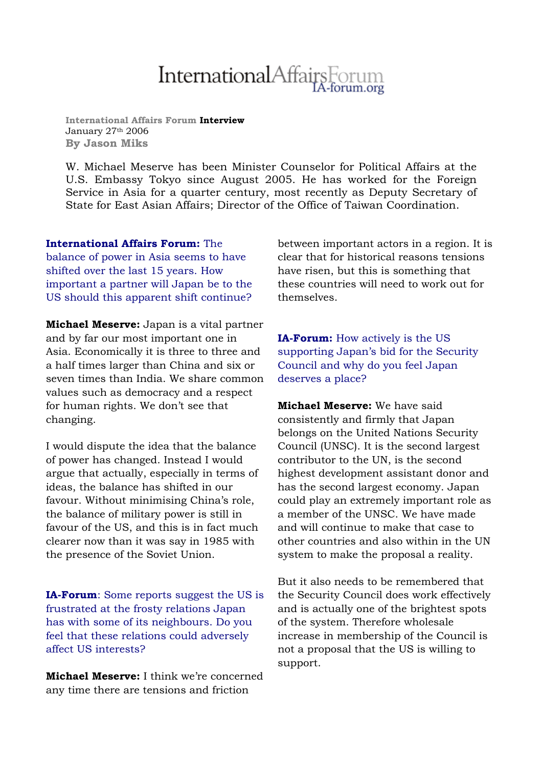## InternationalAffairsForum

**International Affairs Forum Interview** January 27<sup>th</sup> 2006 **By Jason Miks**

W. Michael Meserve has been Minister Counselor for Political Affairs at the U.S. Embassy Tokyo since August 2005. He has worked for the Foreign Service in Asia for a quarter century, most recently as Deputy Secretary of State for East Asian Affairs; Director of the Office of Taiwan Coordination.

**International Affairs Forum:** The balance of power in Asia seems to have shifted over the last 15 years. How important a partner will Japan be to the US should this apparent shift continue?

**Michael Meserve:** Japan is a vital partner and by far our most important one in Asia. Economically it is three to three and a half times larger than China and six or seven times than India. We share common values such as democracy and a respect for human rights. We don't see that changing.

I would dispute the idea that the balance of power has changed. Instead I would argue that actually, especially in terms of ideas, the balance has shifted in our favour. Without minimising China's role, the balance of military power is still in favour of the US, and this is in fact much clearer now than it was say in 1985 with the presence of the Soviet Union.

**IA-Forum**: Some reports suggest the US is frustrated at the frosty relations Japan has with some of its neighbours. Do you feel that these relations could adversely affect US interests?

**Michael Meserve:** I think we're concerned any time there are tensions and friction

between important actors in a region. It is clear that for historical reasons tensions have risen, but this is something that these countries will need to work out for themselves.

**IA-Forum:** How actively is the US supporting Japan's bid for the Security Council and why do you feel Japan deserves a place?

**Michael Meserve:** We have said consistently and firmly that Japan belongs on the United Nations Security Council (UNSC). It is the second largest contributor to the UN, is the second highest development assistant donor and has the second largest economy. Japan could play an extremely important role as a member of the UNSC. We have made and will continue to make that case to other countries and also within in the UN system to make the proposal a reality.

But it also needs to be remembered that the Security Council does work effectively and is actually one of the brightest spots of the system. Therefore wholesale increase in membership of the Council is not a proposal that the US is willing to support.